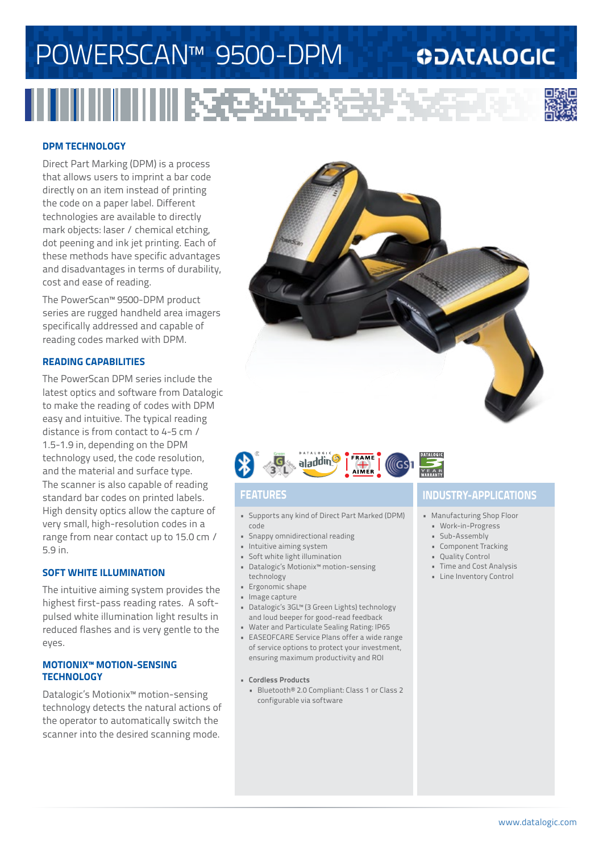# Powerscan™ 9500-DPM

### **ODATALOGIC**

IIIII RAB



### **DPM Technology**

Direct Part Marking (DPM) is a process that allows users to imprint a bar code directly on an item instead of printing the code on a paper label. Different technologies are available to directly mark objects: laser / chemical etching, dot peening and ink jet printing. Each of these methods have specific advantages and disadvantages in terms of durability, cost and ease of reading.

The PowerScan™ 9500-DPM product series are rugged handheld area imagers specifically addressed and capable of reading codes marked with DPM.

### **reading capabilities**

The PowerScan DPM series include the latest optics and software from Datalogic to make the reading of codes with DPM easy and intuitive. The typical reading distance is from contact to 4-5 cm / 1.5-1.9 in, depending on the DPM technology used, the code resolution, and the material and surface type. The scanner is also capable of reading standard bar codes on printed labels. High density optics allow the capture of very small, high-resolution codes in a range from near contact up to 15.0 cm / 5.9 in.

### **SOFT WHITE illumination**

The intuitive aiming system provides the highest first-pass reading rates. A softpulsed white illumination light results in reduced flashes and is very gentle to the eyes.

#### **Motionix™ motion-sensing technology**

Datalogic's Motionix™ motion-sensing technology detects the natural actions of the operator to automatically switch the scanner into the desired scanning mode.





- • Supports any kind of Direct Part Marked (DPM) code
- • Snappy omnidirectional reading
- • Intuitive aiming system
- • Soft white light illumination
- • Datalogic's Motionix™ motion-sensing technology
- • Ergonomic shape
- • Image capture
- • Datalogic's 3GL™ (3 Green Lights) technology and loud beeper for good-read feedback
- • Water and Particulate Sealing Rating: IP65
- • EASEOFCARE Service Plans offer a wide range of service options to protect your investment, ensuring maximum productivity and ROI
- **• Cordless Products**
- • Bluetooth® 2.0 Compliant: Class 1 or Class 2 configurable via software

### **Features industry-applications**

- • Manufacturing Shop Floor
- • Work-in-Progress
- • Sub-Assembly
- • Component Tracking
- • Quality Control
- • Time and Cost Analysis
- • Line Inventory Control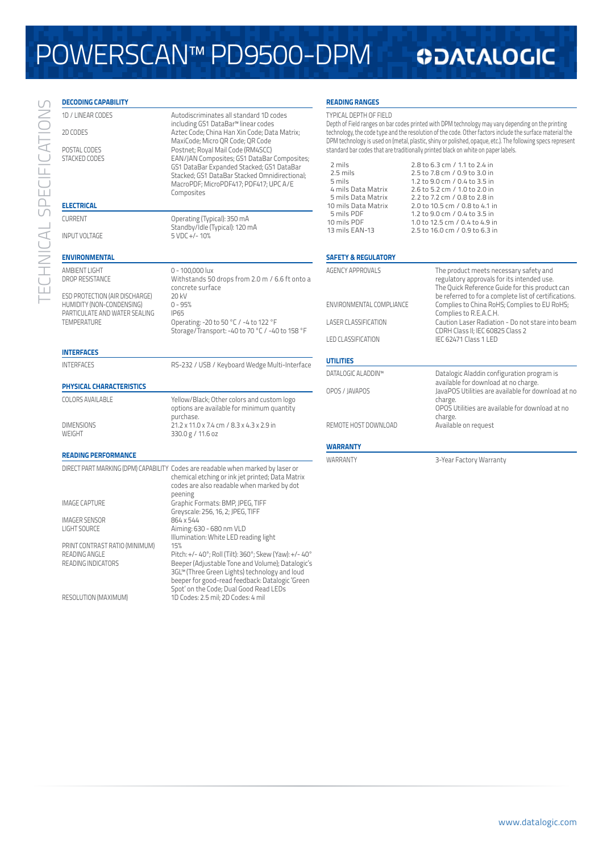# Powerscan™ PD9500-DPM

### **ODATALOGIC**

| <b>DECODING CAPABILITY</b>                                                                   |                                                                                                                                                                                                                                                                                                                                                                                                                          | <b>READING RANGES</b>                                                                                                                                                                                                                                                                                                                                                                                                                                                                                                                     |                                                                                                                                                          |
|----------------------------------------------------------------------------------------------|--------------------------------------------------------------------------------------------------------------------------------------------------------------------------------------------------------------------------------------------------------------------------------------------------------------------------------------------------------------------------------------------------------------------------|-------------------------------------------------------------------------------------------------------------------------------------------------------------------------------------------------------------------------------------------------------------------------------------------------------------------------------------------------------------------------------------------------------------------------------------------------------------------------------------------------------------------------------------------|----------------------------------------------------------------------------------------------------------------------------------------------------------|
| 1D / LINEAR CODES<br>2D CODES<br>POSTAL CODES<br><b>STACKED CODES</b>                        | Autodiscriminates all standard 1D codes<br>including GS1 DataBar <sup>™</sup> linear codes<br>Aztec Code; China Han Xin Code; Data Matrix;<br>MaxiCode; Micro QR Code; QR Code<br>Postnet; Royal Mail Code (RM4SCC)<br>EAN/JAN Composites; GS1 DataBar Composites;<br>GS1 DataBar Expanded Stacked; GS1 DataBar<br>Stacked; GS1 DataBar Stacked Omnidirectional;<br>MacroPDF; MicroPDF417; PDF417; UPC A/E<br>Composites | <b>TYPICAL DEPTH OF FIELD</b><br>Depth of Field ranges on bar codes printed with DPM technology may vary depending on the printing<br>technology, the code type and the resolution of the code. Other factors include the surface material the<br>DPM technology is used on (metal, plastic, shiny or polished, opaque, etc.). The following specs represent<br>standard bar codes that are traditionally printed black on white on paper labels.<br>2 mils<br>2.8 to 6.3 cm / 1.1 to 2.4 in<br>2.5 mils<br>2.5 to 7.8 cm / 0.9 to 3.0 in |                                                                                                                                                          |
|                                                                                              |                                                                                                                                                                                                                                                                                                                                                                                                                          | 5 mils<br>4 mils Data Matrix                                                                                                                                                                                                                                                                                                                                                                                                                                                                                                              | 1.2 to 9.0 cm / 0.4 to 3.5 in<br>2.6 to 5.2 cm / 1.0 to 2.0 in                                                                                           |
| <b>ELECTRICAL</b>                                                                            |                                                                                                                                                                                                                                                                                                                                                                                                                          | 5 mils Data Matrix<br>10 mils Data Matrix                                                                                                                                                                                                                                                                                                                                                                                                                                                                                                 | 2.2 to 7.2 cm / 0.8 to 2.8 in<br>2.0 to 10.5 cm / 0.8 to 4.1 in                                                                                          |
| <b>CURRENT</b><br><b>INPUT VOLTAGE</b>                                                       | Operating (Typical): 350 mA<br>Standby/Idle (Typical): 120 mA<br>$5$ VDC +/-10%                                                                                                                                                                                                                                                                                                                                          | 5 mils PDF<br>10 mils PDF<br>13 mils EAN-13                                                                                                                                                                                                                                                                                                                                                                                                                                                                                               | 1.2 to 9.0 cm / 0.4 to 3.5 in<br>1.0 to 12.5 cm / 0.4 to 4.9 in<br>2.5 to 16.0 cm / 0.9 to 6.3 in                                                        |
| <b>ENVIRONMENTAL</b>                                                                         |                                                                                                                                                                                                                                                                                                                                                                                                                          | <b>SAFETY &amp; REGULATORY</b>                                                                                                                                                                                                                                                                                                                                                                                                                                                                                                            |                                                                                                                                                          |
| AMBIENT LIGHT<br>DROP RESISTANCE                                                             | 0 - 100,000 lux<br>Withstands 50 drops from 2.0 m / 6.6 ft onto a<br>concrete surface                                                                                                                                                                                                                                                                                                                                    | <b>AGENCY APPROVALS</b>                                                                                                                                                                                                                                                                                                                                                                                                                                                                                                                   | The product meets necessary safety and<br>regulatory approvals for its intended use.<br>The Quick Reference Guide for this product can                   |
| ESD PROTECTION (AIR DISCHARGE)<br>HUMIDITY (NON-CONDENSING)<br>PARTICULATE AND WATER SEALING | 20 kV<br>$0 - 95%$<br><b>IP65</b>                                                                                                                                                                                                                                                                                                                                                                                        | ENVIRONMENTAL COMPLIANCE                                                                                                                                                                                                                                                                                                                                                                                                                                                                                                                  | be referred to for a complete list of certifications.<br>Complies to China RoHS; Complies to EU RoHS;<br>Complies to R.E.A.C.H.                          |
| <b>TEMPERATURE</b>                                                                           | Operating: -20 to 50 °C / -4 to 122 °F<br>Storage/Transport: -40 to 70 °C / -40 to 158 °F                                                                                                                                                                                                                                                                                                                                | <b>LASER CLASSIFICATION</b>                                                                                                                                                                                                                                                                                                                                                                                                                                                                                                               | Caution Laser Radiation - Do not stare into beam<br>CDRH Class II; IEC 60825 Class 2                                                                     |
| <b>INTERFACES</b>                                                                            |                                                                                                                                                                                                                                                                                                                                                                                                                          | <b>LED CLASSIFICATION</b>                                                                                                                                                                                                                                                                                                                                                                                                                                                                                                                 | IEC 62471 Class 1 LED                                                                                                                                    |
| <b>INTERFACES</b>                                                                            | RS-232 / USB / Keyboard Wedge Multi-Interface                                                                                                                                                                                                                                                                                                                                                                            | <b>UTILITIES</b>                                                                                                                                                                                                                                                                                                                                                                                                                                                                                                                          |                                                                                                                                                          |
|                                                                                              |                                                                                                                                                                                                                                                                                                                                                                                                                          | DATALOGIC ALADDIN™                                                                                                                                                                                                                                                                                                                                                                                                                                                                                                                        | Datalogic Aladdin configuration program is                                                                                                               |
| PHYSICAL CHARACTERISTICS<br><b>COLORS AVAILABLE</b>                                          | Yellow/Black; Other colors and custom logo<br>options are available for minimum quantity                                                                                                                                                                                                                                                                                                                                 | OPOS / JAVAPOS                                                                                                                                                                                                                                                                                                                                                                                                                                                                                                                            | available for download at no charge.<br>JavaPOS Utilities are available for download at no<br>charge.<br>OPOS Utilities are available for download at no |
| <b>DIMENSIONS</b><br>WEIGHT                                                                  | purchase.<br>21.2 x 11.0 x 7.4 cm / 8.3 x 4.3 x 2.9 in<br>330.0 g / 11.6 oz                                                                                                                                                                                                                                                                                                                                              | REMOTE HOST DOWNLOAD                                                                                                                                                                                                                                                                                                                                                                                                                                                                                                                      | charge.<br>Available on request                                                                                                                          |
|                                                                                              |                                                                                                                                                                                                                                                                                                                                                                                                                          | <b>WARRANTY</b>                                                                                                                                                                                                                                                                                                                                                                                                                                                                                                                           |                                                                                                                                                          |
| <b>READING PERFORMANCE</b>                                                                   |                                                                                                                                                                                                                                                                                                                                                                                                                          | WARRANTY                                                                                                                                                                                                                                                                                                                                                                                                                                                                                                                                  | 3-Year Factory Warranty                                                                                                                                  |
|                                                                                              | DIRECT PART MARKING (DPM) CAPABILITY Codes are readable when marked by laser or<br>chemical etching or ink jet printed; Data Matrix<br>codes are also readable when marked by dot                                                                                                                                                                                                                                        |                                                                                                                                                                                                                                                                                                                                                                                                                                                                                                                                           |                                                                                                                                                          |
| <b>IMAGE CAPTURE</b>                                                                         | peening<br>Graphic Formats: BMP, JPEG, TIFF<br>Greyscale: 256, 16, 2; JPEG, TIFF                                                                                                                                                                                                                                                                                                                                         |                                                                                                                                                                                                                                                                                                                                                                                                                                                                                                                                           |                                                                                                                                                          |
| <b>IMAGER SENSOR</b><br>LIGHT SOURCE                                                         | 864 x 544<br>Aiming: 630 - 680 nm VLD<br>Illumination: White LED reading light                                                                                                                                                                                                                                                                                                                                           |                                                                                                                                                                                                                                                                                                                                                                                                                                                                                                                                           |                                                                                                                                                          |
| PRINT CONTRAST RATIO (MINIMUM)<br>READING ANGLE<br>READING INDICATORS                        | 15%<br>Pitch: +/- 40°; Roll (Tilt): 360°; Skew (Yaw): +/- 40°<br>Beeper (Adjustable Tone and Volume); Datalogic's<br>3GL™ (Three Green Lights) technology and loud<br>beeper for good-read feedback: Datalogic 'Green                                                                                                                                                                                                    |                                                                                                                                                                                                                                                                                                                                                                                                                                                                                                                                           |                                                                                                                                                          |
| RESOLUTION (MAXIMUM)                                                                         | Spot' on the Code; Dual Good Read LEDs<br>1D Codes: 2.5 mil: 2D Codes: 4 mil                                                                                                                                                                                                                                                                                                                                             |                                                                                                                                                                                                                                                                                                                                                                                                                                                                                                                                           |                                                                                                                                                          |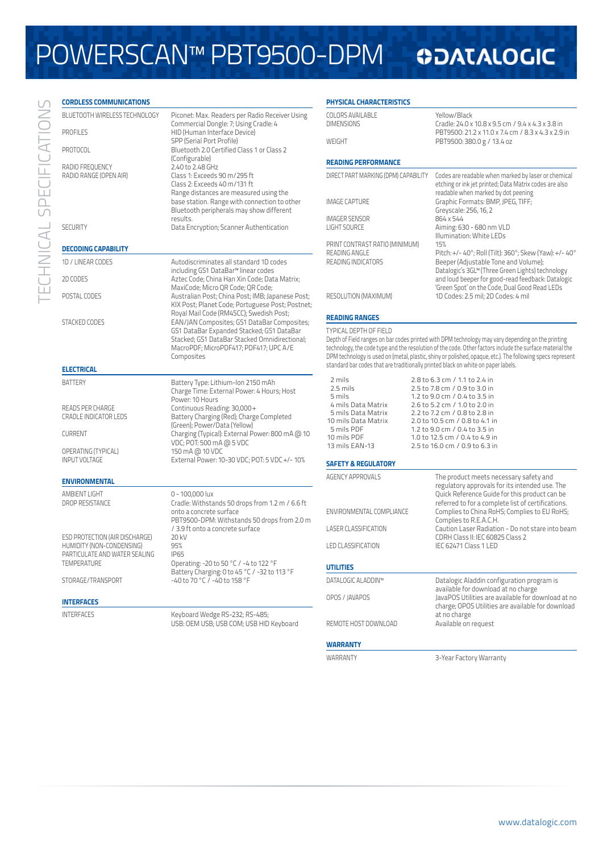# Powerscan™ PBT9500-DPM

## **ODATALOGIC**

| <b>CORDLESS COMMUNICATIONS</b>                                           |                                                                                                                                                                                                    | <b>PHYSICAL CHARACTERISTICS</b>                                                                                                                                                                                                                                                                                                                              |                                                                                                                                                      |  |
|--------------------------------------------------------------------------|----------------------------------------------------------------------------------------------------------------------------------------------------------------------------------------------------|--------------------------------------------------------------------------------------------------------------------------------------------------------------------------------------------------------------------------------------------------------------------------------------------------------------------------------------------------------------|------------------------------------------------------------------------------------------------------------------------------------------------------|--|
| BLUETOOTH WIRELESS TECHNOLOGY<br><b>PROFILES</b>                         | Piconet: Max. Readers per Radio Receiver Using<br>Commercial Dongle: 7; Using Cradle: 4<br>HID (Human Interface Device)                                                                            | <b>COLORS AVAILABLE</b><br><b>DIMENSIONS</b>                                                                                                                                                                                                                                                                                                                 | Yellow/Black<br>Cradle: 24.0 x 10.8 x 9.5 cm / 9.4 x 4.3 x 3.8 in<br>PBT9500: 21.2 x 11.0 x 7.4 cm / 8.3 x 4.3 x 2.9 in                              |  |
|                                                                          | SPP (Serial Port Profile)                                                                                                                                                                          | WEIGHT                                                                                                                                                                                                                                                                                                                                                       | PBT9500: 380.0 g / 13.4 oz                                                                                                                           |  |
| PROTOCOL<br>Bluetooth 2.0 Certified Class 1 or Class 2<br>(Configurable) |                                                                                                                                                                                                    |                                                                                                                                                                                                                                                                                                                                                              |                                                                                                                                                      |  |
| RADIO FREOUENCY                                                          | 2.40 to 2.48 GHz                                                                                                                                                                                   | <b>READING PERFORMANCE</b>                                                                                                                                                                                                                                                                                                                                   |                                                                                                                                                      |  |
| RADIO RANGE (OPEN AIR)                                                   | Class 1: Exceeds 90 m/295 ft<br>Class 2: Exceeds 40 m/131 ft<br>Range distances are measured using the<br>base station. Range with connection to other<br>Bluetooth peripherals may show different | DIRECT PART MARKING (DPM) CAPABILITY                                                                                                                                                                                                                                                                                                                         | Codes are readable when marked by laser or chemical<br>etching or ink jet printed; Data Matrix codes are also<br>readable when marked by dot peening |  |
|                                                                          |                                                                                                                                                                                                    | <b>IMAGE CAPTURE</b>                                                                                                                                                                                                                                                                                                                                         | Graphic Formats: BMP, JPEG, TIFF;<br>Greyscale: 256, 16, 2                                                                                           |  |
|                                                                          | results.                                                                                                                                                                                           | <b>IMAGER SENSOR</b>                                                                                                                                                                                                                                                                                                                                         | 864 x 544                                                                                                                                            |  |
| <b>SECURITY</b>                                                          | Data Encryption; Scanner Authentication                                                                                                                                                            | <b>LIGHT SOURCE</b>                                                                                                                                                                                                                                                                                                                                          | Aiming: 630 - 680 nm VLD<br>Illumination: White LEDs                                                                                                 |  |
|                                                                          |                                                                                                                                                                                                    | PRINT CONTRAST RATIO (MINIMUM)                                                                                                                                                                                                                                                                                                                               | 15%                                                                                                                                                  |  |
| <b>DECODING CAPABILITY</b>                                               |                                                                                                                                                                                                    | READING ANGLE                                                                                                                                                                                                                                                                                                                                                | Pitch: +/- 40°; Roll (Tilt): 360°; Skew (Yaw): +/- 40°                                                                                               |  |
| 1D / LINEAR CODES                                                        | Autodiscriminates all standard 1D codes<br>including GS1 DataBar™ linear codes                                                                                                                     | READING INDICATORS                                                                                                                                                                                                                                                                                                                                           | Beeper (Adjustable Tone and Volume);<br>Datalogic's 3GL™ (Three Green Lights) technology                                                             |  |
| 2D CODES                                                                 | Aztec Code; China Han Xin Code; Data Matrix;                                                                                                                                                       |                                                                                                                                                                                                                                                                                                                                                              | and loud beeper for good-read feedback: Datalogic                                                                                                    |  |
| POSTAL CODES                                                             | MaxiCode; Micro QR Code; QR Code;<br>Australian Post; China Post; IMB; Japanese Post;                                                                                                              | RESOLUTION (MAXIMUM)                                                                                                                                                                                                                                                                                                                                         | 'Green Spot' on the Code, Dual Good Read LEDs<br>1D Codes: 2.5 mil; 2D Codes: 4 mil                                                                  |  |
|                                                                          | KIX Post; Planet Code; Portuguese Post; Postnet;                                                                                                                                                   |                                                                                                                                                                                                                                                                                                                                                              |                                                                                                                                                      |  |
|                                                                          | Royal Mail Code (RM4SCC); Swedish Post;                                                                                                                                                            | <b>READING RANGES</b>                                                                                                                                                                                                                                                                                                                                        |                                                                                                                                                      |  |
| <b>STACKED CODES</b>                                                     | EAN/JAN Composites; GS1 DataBar Composites;<br>GS1 DataBar Expanded Stacked; GS1 DataBar                                                                                                           | <b>TYPICAL DEPTH OF FIELD</b><br>Depth of Field ranges on bar codes printed with DPM technology may vary depending on the printing<br>technology, the code type and the resolution of the code. Other factors include the surface material the<br>DPM technology is used on (metal, plastic, shiny or polished, opaque, etc.). The following specs represent |                                                                                                                                                      |  |
|                                                                          | Stacked; GS1 DataBar Stacked Omnidirectional;                                                                                                                                                      |                                                                                                                                                                                                                                                                                                                                                              |                                                                                                                                                      |  |
|                                                                          | MacroPDF; MicroPDF417; PDF417; UPC A/E<br>Composites                                                                                                                                               |                                                                                                                                                                                                                                                                                                                                                              |                                                                                                                                                      |  |
| <b>ELECTRICAL</b>                                                        |                                                                                                                                                                                                    |                                                                                                                                                                                                                                                                                                                                                              | standard bar codes that are traditionally printed black on white on paper labels.                                                                    |  |
| <b>BATTERY</b>                                                           |                                                                                                                                                                                                    | 2 mils                                                                                                                                                                                                                                                                                                                                                       | 2.8 to 6.3 cm / 1.1 to 2.4 in                                                                                                                        |  |
|                                                                          | Battery Type: Lithium-Ion 2150 mAh<br>Charge Time: External Power: 4 Hours; Host                                                                                                                   | 2.5 mils                                                                                                                                                                                                                                                                                                                                                     | 2.5 to 7.8 cm / 0.9 to 3.0 in                                                                                                                        |  |
|                                                                          | Power: 10 Hours                                                                                                                                                                                    | 5 mils<br>4 mils Data Matrix                                                                                                                                                                                                                                                                                                                                 | 1.2 to 9.0 cm / 0.4 to 3.5 in<br>2.6 to 5.2 cm / 1.0 to 2.0 in                                                                                       |  |
| READS PER CHARGE<br>CRADLE INDICATOR LEDS                                | Continuous Reading: 30,000+<br>Battery Charging (Red); Charge Completed                                                                                                                            | 5 mils Data Matrix                                                                                                                                                                                                                                                                                                                                           | 2.2 to 7.2 cm / 0.8 to 2.8 in                                                                                                                        |  |
|                                                                          | (Green); Power/Data (Yellow)                                                                                                                                                                       | 10 mils Data Matrix<br>5 mils PDF                                                                                                                                                                                                                                                                                                                            | 2.0 to 10.5 cm / 0.8 to 4.1 in                                                                                                                       |  |
| <b>CURRENT</b>                                                           | Charging (Typical): External Power: 800 mA @ 10                                                                                                                                                    | 10 mils PDF                                                                                                                                                                                                                                                                                                                                                  | 1.2 to 9.0 cm / 0.4 to 3.5 in<br>1.0 to 12.5 cm / 0.4 to 4.9 in                                                                                      |  |
| OPERATING (TYPICAL)                                                      | VDC; POT: 500 mA @ 5 VDC<br>150 mA @ 10 VDC                                                                                                                                                        | 13 mils EAN-13                                                                                                                                                                                                                                                                                                                                               | 2.5 to 16.0 cm / 0.9 to 6.3 in                                                                                                                       |  |
| <b>INPUT VOLTAGE</b>                                                     | External Power: 10-30 VDC; POT: 5 VDC +/- 10%                                                                                                                                                      | <b>SAFETY &amp; REGULATORY</b>                                                                                                                                                                                                                                                                                                                               |                                                                                                                                                      |  |
| <b>ENVIRONMENTAL</b>                                                     |                                                                                                                                                                                                    | <b>AGENCY APPROVALS</b>                                                                                                                                                                                                                                                                                                                                      | The product meets necessary safety and                                                                                                               |  |
| AMBIENT LIGHT                                                            | 0 - 100,000 lux                                                                                                                                                                                    |                                                                                                                                                                                                                                                                                                                                                              | regulatory approvals for its intended use. The<br>Quick Reference Guide for this product can be                                                      |  |
| DROP RESISTANCE                                                          | Cradle: Withstands 50 drops from 1.2 m / 6.6 ft                                                                                                                                                    |                                                                                                                                                                                                                                                                                                                                                              | referred to for a complete list of certifications.                                                                                                   |  |
|                                                                          | onto a concrete surface                                                                                                                                                                            | ENVIRONMENTAL COMPLIANCE                                                                                                                                                                                                                                                                                                                                     | Complies to China RoHS; Complies to EU RoHS;                                                                                                         |  |
|                                                                          | PBT9500-DPM: Withstands 50 drops from 2.0 m<br>/ 3.9 ft onto a concrete surface                                                                                                                    | <b>LASER CLASSIFICATION</b>                                                                                                                                                                                                                                                                                                                                  | Complies to R.E.A.C.H.<br>Caution Laser Radiation - Do not stare into beam                                                                           |  |
| ESD PROTECTION (AIR DISCHARGE)                                           | 20 kV                                                                                                                                                                                              |                                                                                                                                                                                                                                                                                                                                                              | CDRH Class II: IEC 60825 Class 2                                                                                                                     |  |
| HUMIDITY (NON-CONDENSING)                                                | 95%                                                                                                                                                                                                | <b>LED CLASSIFICATION</b>                                                                                                                                                                                                                                                                                                                                    | IEC 62471 Class 1 LED                                                                                                                                |  |
| PARTICULATE AND WATER SEALING<br><b>TEMPERATURE</b>                      | <b>IP65</b><br>Operating: -20 to 50 °C / -4 to 122 °F                                                                                                                                              |                                                                                                                                                                                                                                                                                                                                                              |                                                                                                                                                      |  |
|                                                                          | Battery Charging: 0 to 45 °C / -32 to 113 °F                                                                                                                                                       | <b>UTILITIES</b>                                                                                                                                                                                                                                                                                                                                             |                                                                                                                                                      |  |
| STORAGE/TRANSPORT                                                        | -40 to 70 °C / -40 to 158 °F                                                                                                                                                                       | DATALOGIC ALADDIN™                                                                                                                                                                                                                                                                                                                                           | Datalogic Aladdin configuration program is<br>available for download at no charge                                                                    |  |
|                                                                          |                                                                                                                                                                                                    | OPOS / JAVAPOS                                                                                                                                                                                                                                                                                                                                               | JavaPOS Utilities are available for download at no                                                                                                   |  |
| <b>INTERFACES</b>                                                        |                                                                                                                                                                                                    |                                                                                                                                                                                                                                                                                                                                                              | charge; OPOS Utilities are available for download                                                                                                    |  |
| <b>INTERFACES</b>                                                        | Keyboard Wedge RS-232; RS-485;<br>USB: OEM USB; USB COM; USB HID Keyboard                                                                                                                          | REMOTE HOST DOWNLOAD                                                                                                                                                                                                                                                                                                                                         | at no charge<br>Available on request                                                                                                                 |  |
|                                                                          |                                                                                                                                                                                                    |                                                                                                                                                                                                                                                                                                                                                              |                                                                                                                                                      |  |

#### **Warranty**

WARRANTY **3-Year Factory Warranty**